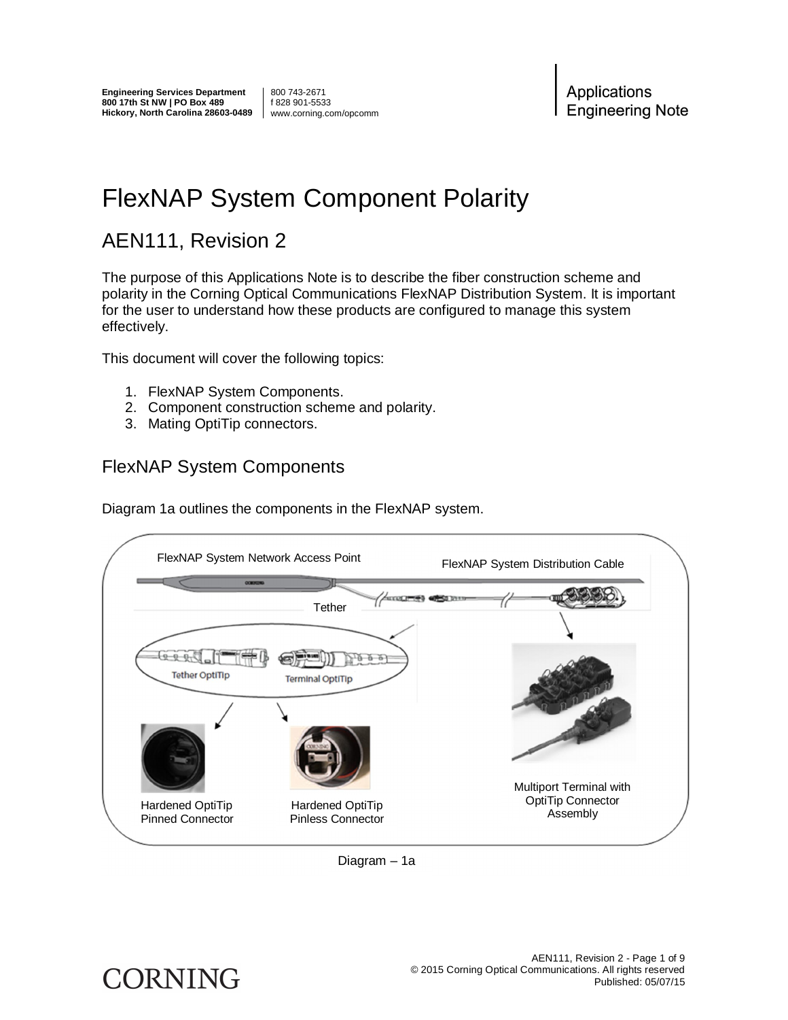800 743-2671 f 828 901-5533 www.corning.com/opcomm

Applications **Engineering Note** 

## FlexNAP System Component Polarity

## AEN111, Revision 2

The purpose of this Applications Note is to describe the fiber construction scheme and polarity in the Corning Optical Communications FlexNAP Distribution System. It is important for the user to understand how these products are configured to manage this system effectively.

This document will cover the following topics:

- 1. FlexNAP System Components.
- 2. Component construction scheme and polarity.
- 3. Mating OptiTip connectors.

#### FlexNAP System Components

Diagram 1a outlines the components in the FlexNAP system.





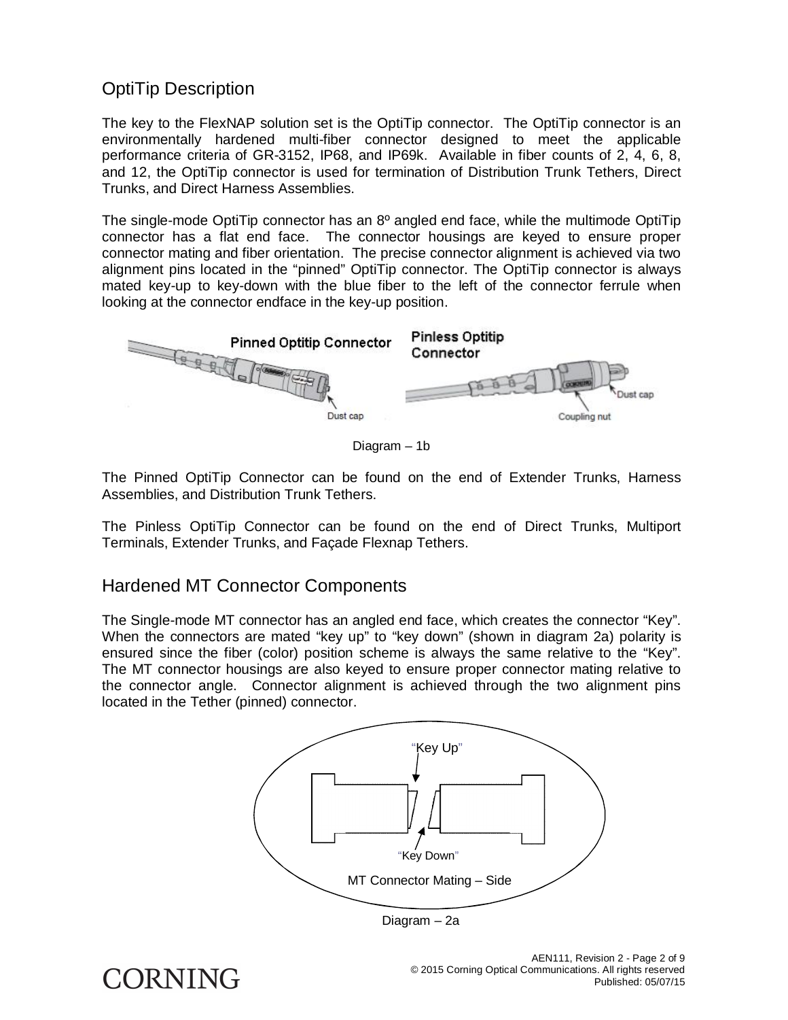#### OptiTip Description

The key to the FlexNAP solution set is the OptiTip connector. The OptiTip connector is an environmentally hardened multi-fiber connector designed to meet the applicable performance criteria of GR-3152, IP68, and IP69k. Available in fiber counts of 2, 4, 6, 8, and 12, the OptiTip connector is used for termination of Distribution Trunk Tethers, Direct Trunks, and Direct Harness Assemblies.

The single-mode OptiTip connector has an 8º angled end face, while the multimode OptiTip connector has a flat end face. The connector housings are keyed to ensure proper connector mating and fiber orientation. The precise connector alignment is achieved via two alignment pins located in the "pinned" OptiTip connector. The OptiTip connector is always mated key-up to key-down with the blue fiber to the left of the connector ferrule when looking at the connector endface in the key-up position.



Diagram – 1b

The Pinned OptiTip Connector can be found on the end of Extender Trunks, Harness Assemblies, and Distribution Trunk Tethers.

The Pinless OptiTip Connector can be found on the end of Direct Trunks, Multiport Terminals, Extender Trunks, and Façade Flexnap Tethers.

#### Hardened MT Connector Components

The Single-mode MT connector has an angled end face, which creates the connector "Key". When the connectors are mated "key up" to "key down" (shown in diagram 2a) polarity is ensured since the fiber (color) position scheme is always the same relative to the "Key". The MT connector housings are also keyed to ensure proper connector mating relative to the connector angle. Connector alignment is achieved through the two alignment pins located in the Tether (pinned) connector.



Diagram – 2a

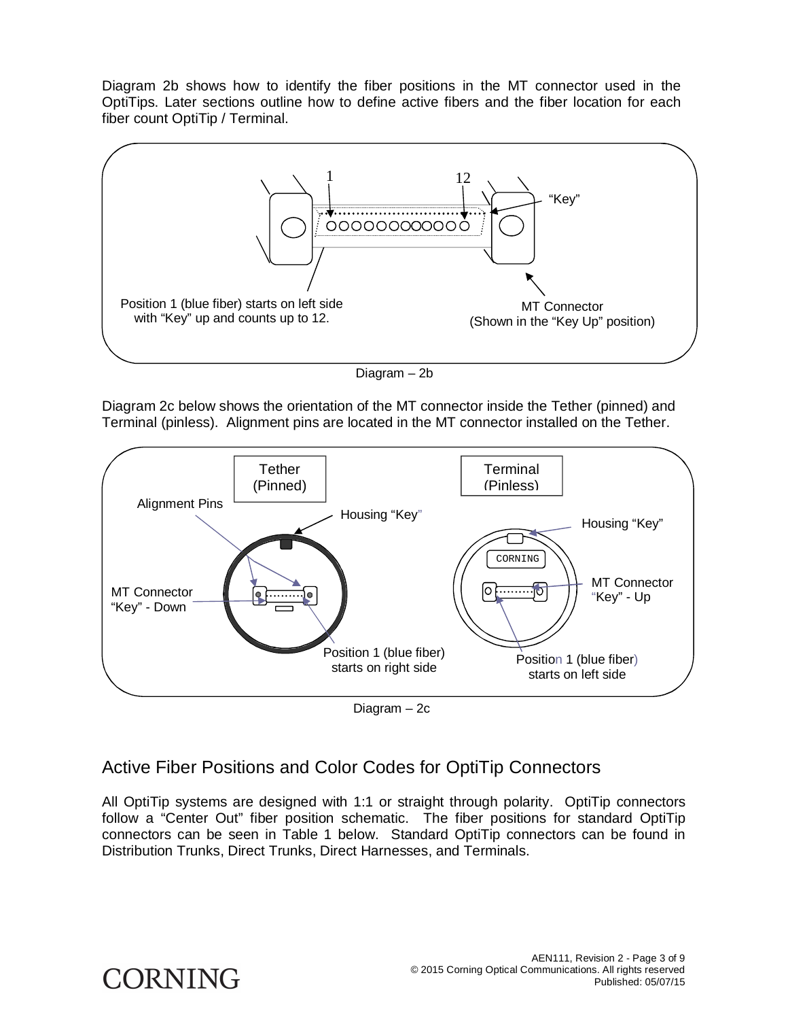Diagram 2b shows how to identify the fiber positions in the MT connector used in the OptiTips. Later sections outline how to define active fibers and the fiber location for each fiber count OptiTip / Terminal.



Diagram – 2b

Diagram 2c below shows the orientation of the MT connector inside the Tether (pinned) and Terminal (pinless). Alignment pins are located in the MT connector installed on the Tether.



Diagram – 2c

#### Active Fiber Positions and Color Codes for OptiTip Connectors

All OptiTip systems are designed with 1:1 or straight through polarity. OptiTip connectors follow a "Center Out" fiber position schematic. The fiber positions for standard OptiTip connectors can be seen in Table 1 below. Standard OptiTip connectors can be found in Distribution Trunks, Direct Trunks, Direct Harnesses, and Terminals.

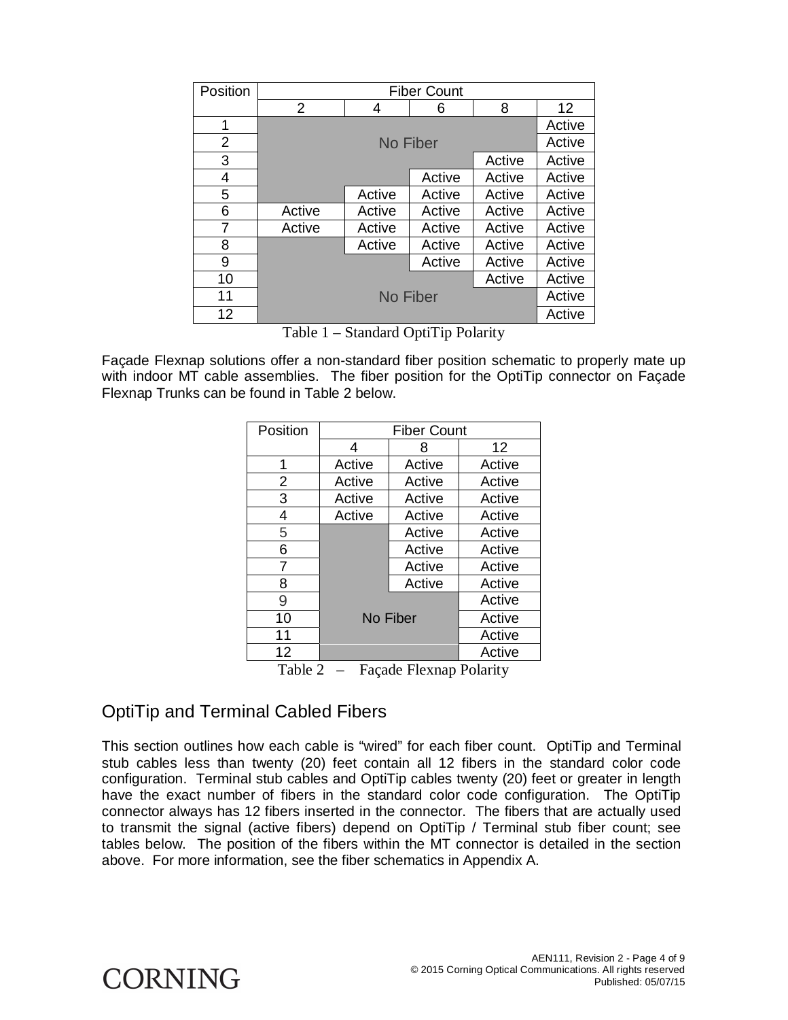| Position       | <b>Fiber Count</b> |        |        |        |                 |  |  |
|----------------|--------------------|--------|--------|--------|-----------------|--|--|
|                | $\overline{2}$     | 4      | 6      | 8      | 12 <sup>2</sup> |  |  |
| 1              |                    | Active |        |        |                 |  |  |
| $\overline{2}$ | No Fiber           |        |        | Active |                 |  |  |
| 3              |                    |        |        | Active | Active          |  |  |
| 4              |                    |        | Active | Active | Active          |  |  |
| 5              |                    | Active | Active | Active | Active          |  |  |
| 6              | Active             | Active | Active | Active | Active          |  |  |
| 7              | Active             | Active | Active | Active | Active          |  |  |
| 8              |                    | Active | Active | Active | Active          |  |  |
| 9              |                    |        | Active | Active | Active          |  |  |
| 10             |                    |        |        | Active | Active          |  |  |
| 11             | No Fiber           |        |        |        | Active          |  |  |
| 12             |                    |        |        |        | Active          |  |  |

Table 1 – Standard OptiTip Polarity

Façade Flexnap solutions offer a non-standard fiber position schematic to properly mate up with indoor MT cable assemblies. The fiber position for the OptiTip connector on Façade Flexnap Trunks can be found in Table 2 below.

| Position |          | <b>Fiber Count</b> |        |
|----------|----------|--------------------|--------|
|          | 4        | 8                  | 12     |
| 1        | Active   | Active             | Active |
| 2        | Active   | Active             | Active |
| 3        | Active   | Active             | Active |
| 4        | Active   | Active             | Active |
| 5        |          | Active             | Active |
| 6        |          | Active             | Active |
| 7        |          | Active             | Active |
| 8        |          | Active             | Active |
| 9        |          |                    | Active |
| 10       | No Fiber | Active             |        |
| 11       |          | Active             |        |
| 12       |          |                    | Active |

Table 2 – Façade Flexnap Polarity

#### OptiTip and Terminal Cabled Fibers

This section outlines how each cable is "wired" for each fiber count. OptiTip and Terminal stub cables less than twenty (20) feet contain all 12 fibers in the standard color code configuration. Terminal stub cables and OptiTip cables twenty (20) feet or greater in length have the exact number of fibers in the standard color code configuration. The OptiTip connector always has 12 fibers inserted in the connector. The fibers that are actually used to transmit the signal (active fibers) depend on OptiTip / Terminal stub fiber count; see tables below. The position of the fibers within the MT connector is detailed in the section above. For more information, see the fiber schematics in Appendix A.

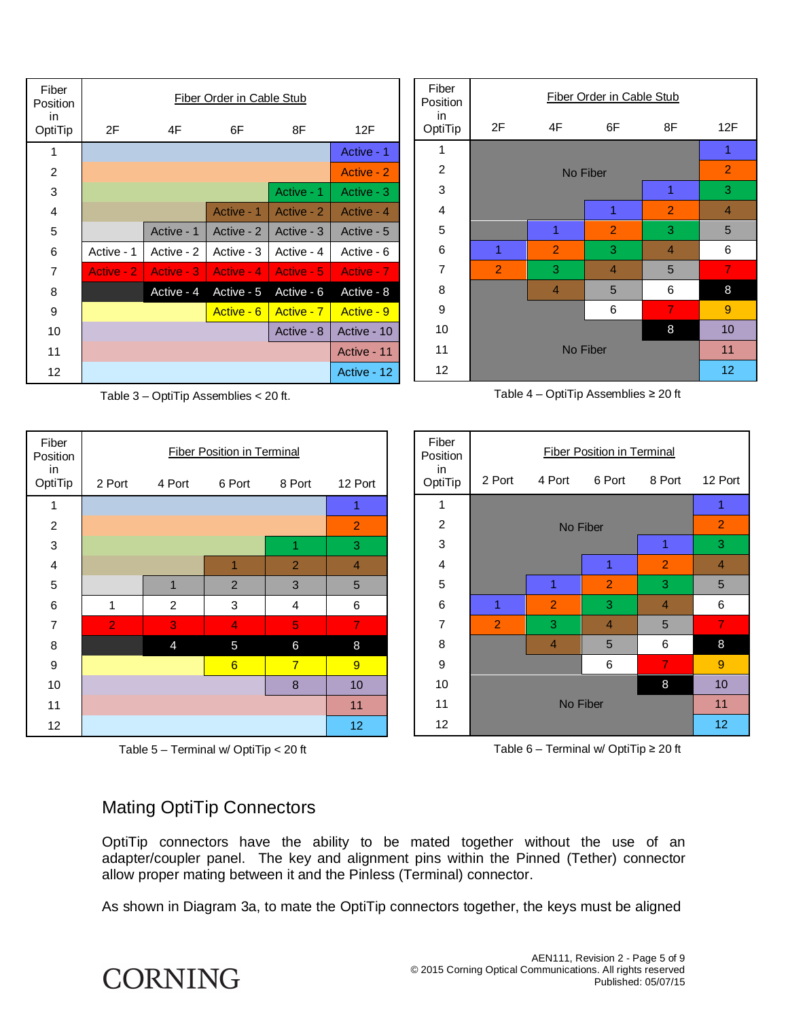| Fiber<br>Position | Fiber Order in Cable Stub |             |            |            |             |  |  |
|-------------------|---------------------------|-------------|------------|------------|-------------|--|--|
| in.<br>OptiTip    | 2F                        | 4F          | 6F         | 8F         | 12F         |  |  |
| 1                 |                           | Active - 1  |            |            |             |  |  |
| $\overline{2}$    |                           | Active - 2  |            |            |             |  |  |
| 3                 |                           |             |            | Active - 1 | Active - 3  |  |  |
| 4                 |                           |             | Active - 1 | Active - 2 | Active - 4  |  |  |
| 5                 |                           | Active - 1  | Active - 2 | Active - 3 | Active - 5  |  |  |
| 6                 | Active - 1                | Active - 2  | Active - 3 | Active - 4 | Active - 6  |  |  |
| 7                 | Active - 2                | Active - 3  | Active - 4 | Active - 5 | Active - 7  |  |  |
| 8                 |                           | Active - 4  | Active - 5 | Active - 6 | Active - 8  |  |  |
| 9                 |                           |             | Active - 6 | Active - 7 | Active - 9  |  |  |
| 10                |                           | Active - 10 |            |            |             |  |  |
| 11                |                           |             |            |            | Active - 11 |  |  |
| 12                |                           |             |            |            | Active - 12 |  |  |

Table 3 – OptiTip Assemblies < 20 ft.







Table  $4$  – OptiTip Assemblies  $\geq 20$  ft



Table  $6$  – Terminal w/ OptiTip  $\geq 20$  ft

#### Mating OptiTip Connectors

OptiTip connectors have the ability to be mated together without the use of an adapter/coupler panel. The key and alignment pins within the Pinned (Tether) connector allow proper mating between it and the Pinless (Terminal) connector.

As shown in Diagram 3a, to mate the OptiTip connectors together, the keys must be aligned

# **CORNING**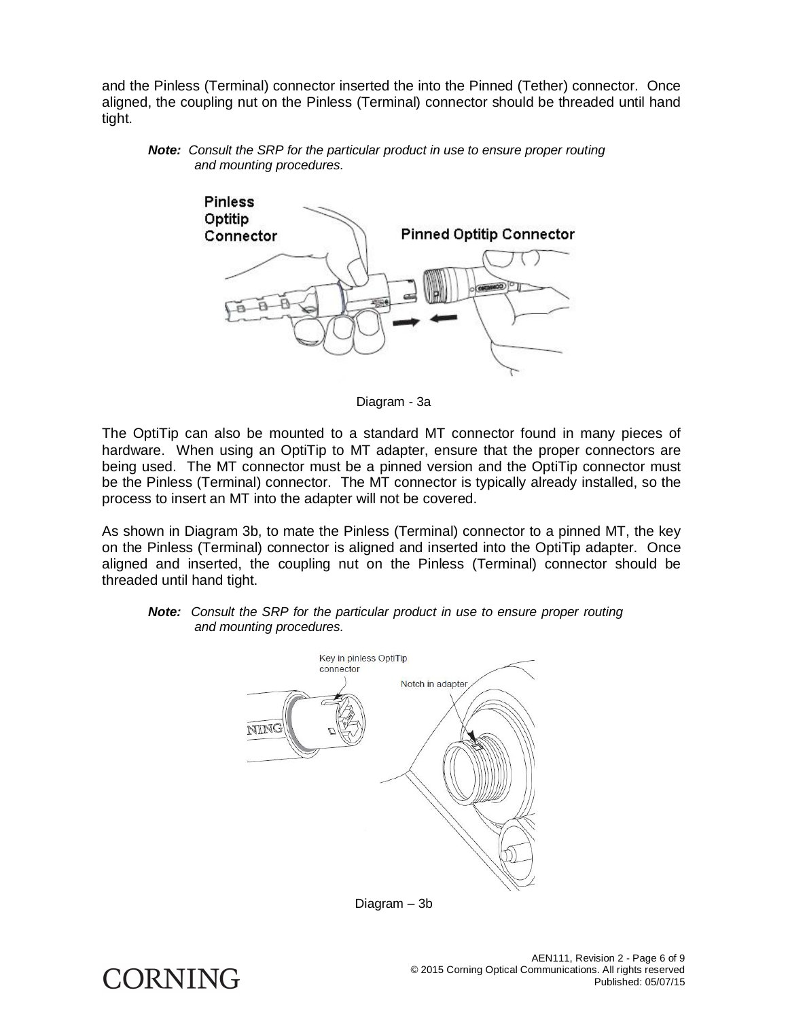and the Pinless (Terminal) connector inserted the into the Pinned (Tether) connector. Once aligned, the coupling nut on the Pinless (Terminal) connector should be threaded until hand tight.





Diagram - 3a

The OptiTip can also be mounted to a standard MT connector found in many pieces of hardware. When using an OptiTip to MT adapter, ensure that the proper connectors are being used. The MT connector must be a pinned version and the OptiTip connector must be the Pinless (Terminal) connector. The MT connector is typically already installed, so the process to insert an MT into the adapter will not be covered.

As shown in Diagram 3b, to mate the Pinless (Terminal) connector to a pinned MT, the key on the Pinless (Terminal) connector is aligned and inserted into the OptiTip adapter. Once aligned and inserted, the coupling nut on the Pinless (Terminal) connector should be threaded until hand tight.

*Note: Consult the SRP for the particular product in use to ensure proper routing and mounting procedures.* 



Diagram – 3b

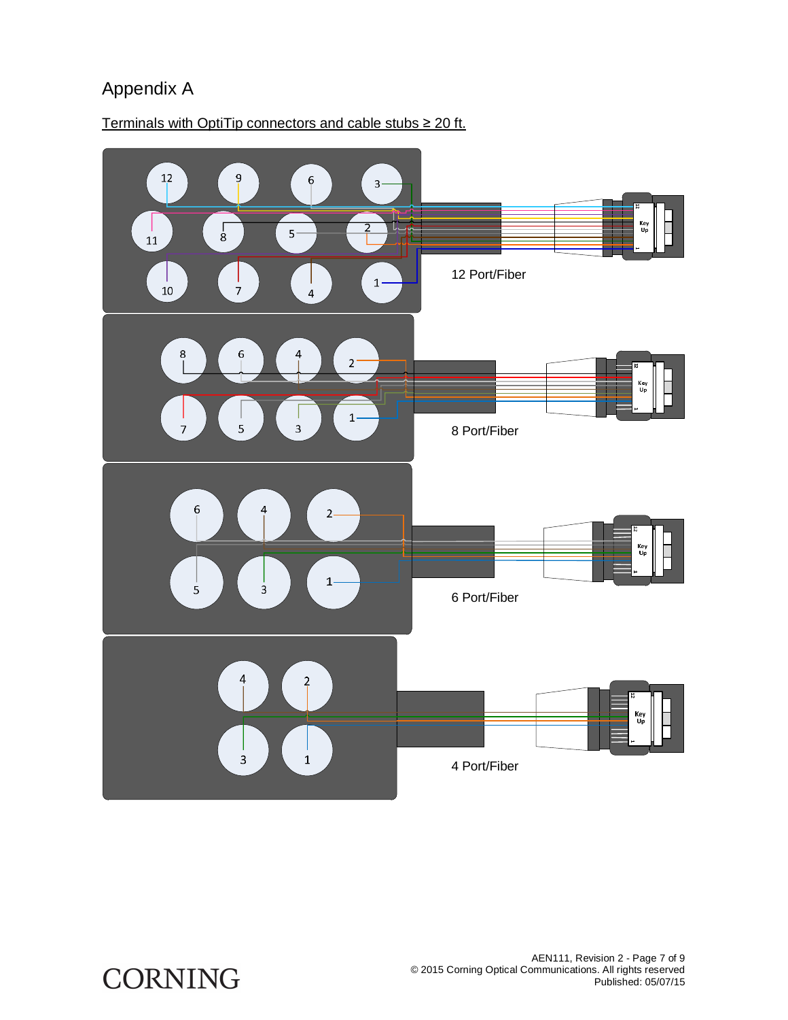## Appendix A



Terminals with OptiTip connectors and cable stubs  $\geq 20$  ft.

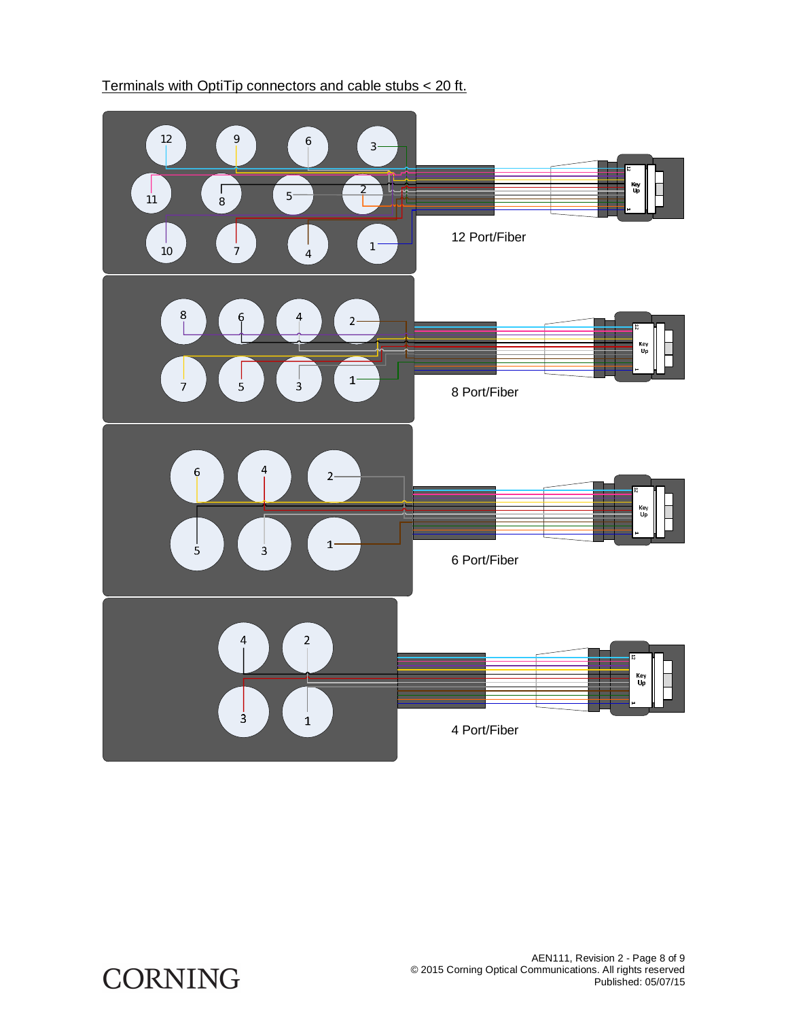

#### Terminals with OptiTip connectors and cable stubs < 20 ft.